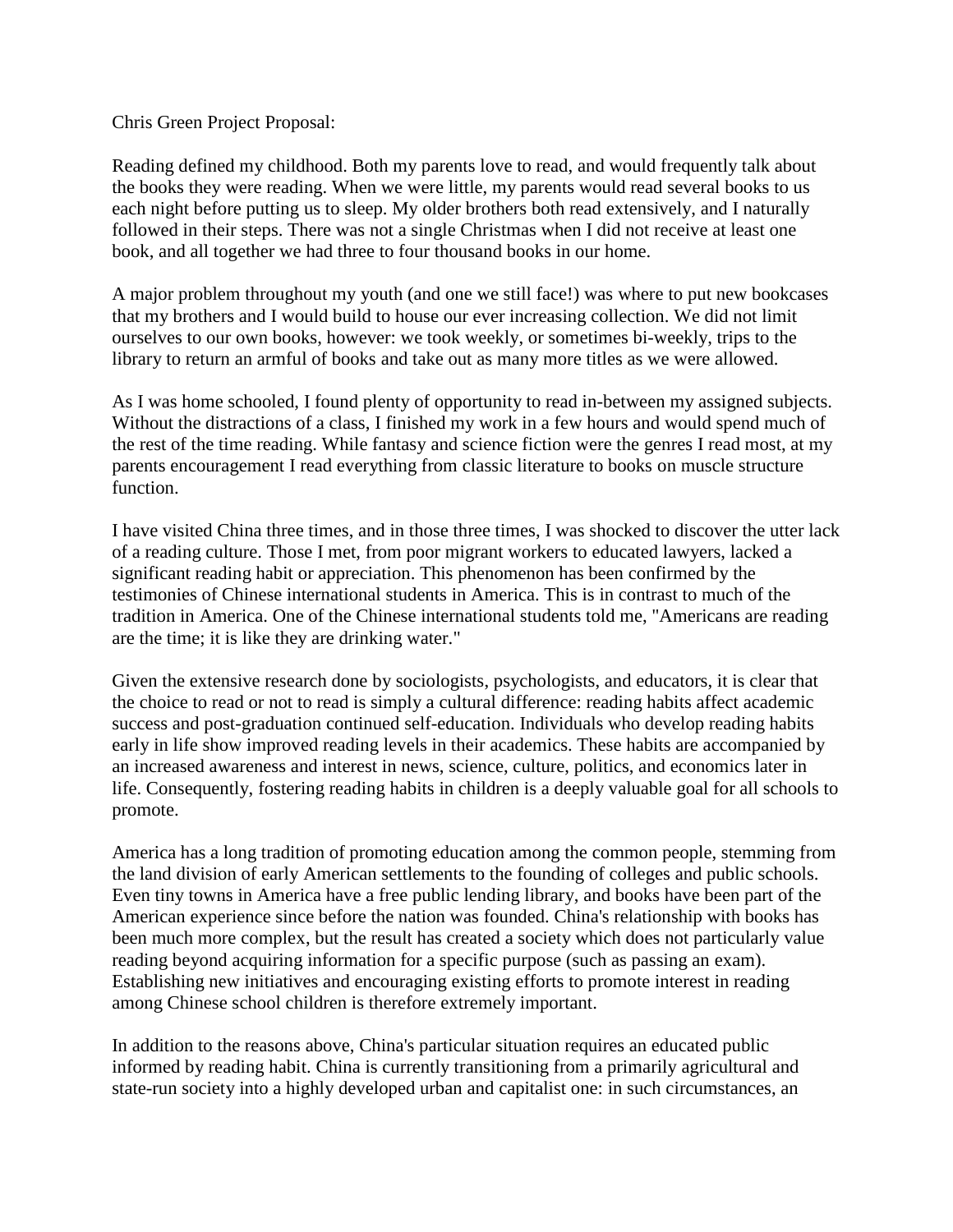Chris Green Project Proposal:

Reading defined my childhood. Both my parents love to read, and would frequently talk about the books they were reading. When we were little, my parents would read several books to us each night before putting us to sleep. My older brothers both read extensively, and I naturally followed in their steps. There was not a single Christmas when I did not receive at least one book, and all together we had three to four thousand books in our home.

A major problem throughout my youth (and one we still face!) was where to put new bookcases that my brothers and I would build to house our ever increasing collection. We did not limit ourselves to our own books, however: we took weekly, or sometimes bi-weekly, trips to the library to return an armful of books and take out as many more titles as we were allowed.

As I was home schooled, I found plenty of opportunity to read in-between my assigned subjects. Without the distractions of a class, I finished my work in a few hours and would spend much of the rest of the time reading. While fantasy and science fiction were the genres I read most, at my parents encouragement I read everything from classic literature to books on muscle structure function.

I have visited China three times, and in those three times, I was shocked to discover the utter lack of a reading culture. Those I met, from poor migrant workers to educated lawyers, lacked a significant reading habit or appreciation. This phenomenon has been confirmed by the testimonies of Chinese international students in America. This is in contrast to much of the tradition in America. One of the Chinese international students told me, "Americans are reading are the time; it is like they are drinking water."

Given the extensive research done by sociologists, psychologists, and educators, it is clear that the choice to read or not to read is simply a cultural difference: reading habits affect academic success and post-graduation continued self-education. Individuals who develop reading habits early in life show improved reading levels in their academics. These habits are accompanied by an increased awareness and interest in news, science, culture, politics, and economics later in life. Consequently, fostering reading habits in children is a deeply valuable goal for all schools to promote.

America has a long tradition of promoting education among the common people, stemming from the land division of early American settlements to the founding of colleges and public schools. Even tiny towns in America have a free public lending library, and books have been part of the American experience since before the nation was founded. China's relationship with books has been much more complex, but the result has created a society which does not particularly value reading beyond acquiring information for a specific purpose (such as passing an exam). Establishing new initiatives and encouraging existing efforts to promote interest in reading among Chinese school children is therefore extremely important.

In addition to the reasons above, China's particular situation requires an educated public informed by reading habit. China is currently transitioning from a primarily agricultural and state-run society into a highly developed urban and capitalist one: in such circumstances, an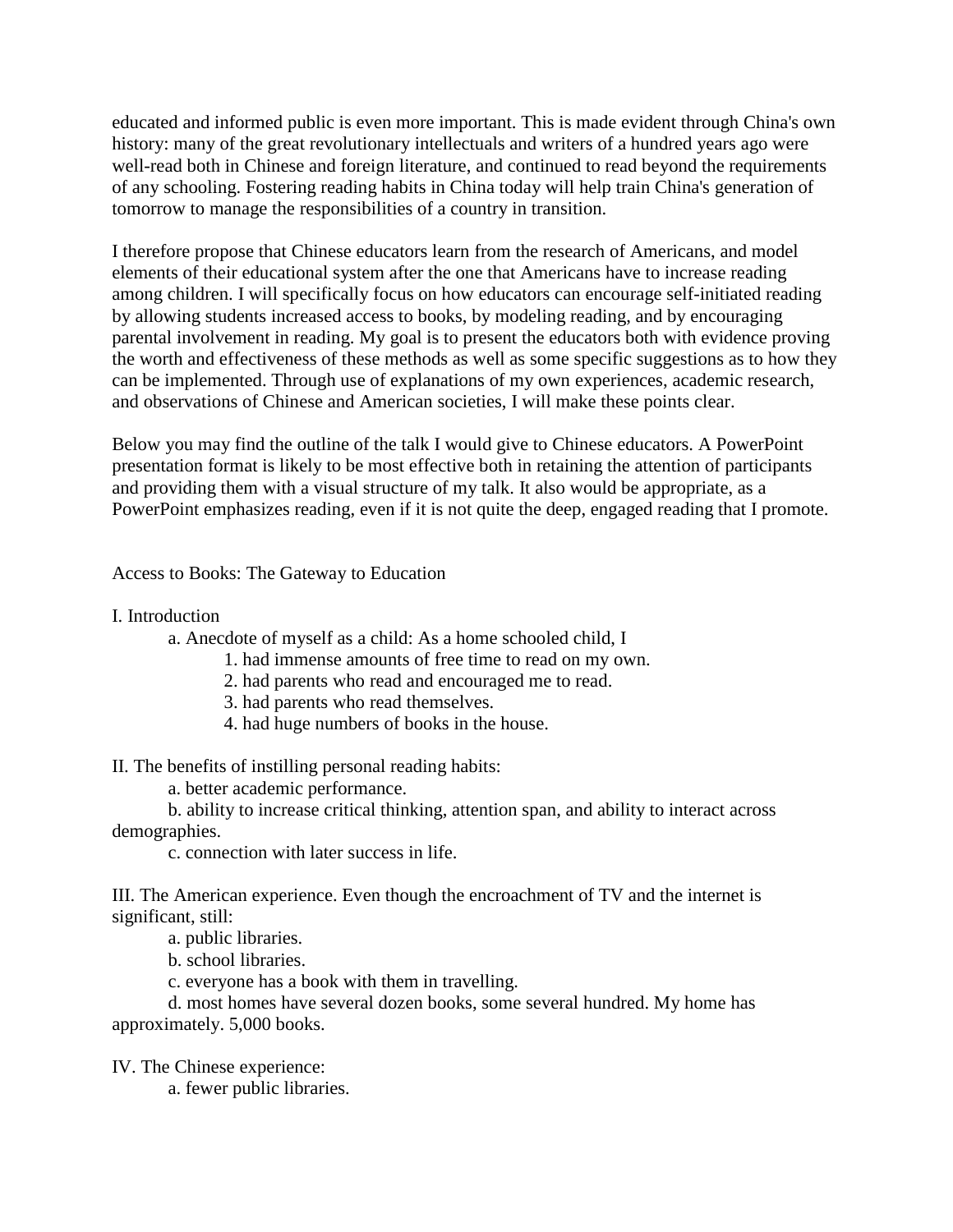educated and informed public is even more important. This is made evident through China's own history: many of the great revolutionary intellectuals and writers of a hundred years ago were well-read both in Chinese and foreign literature, and continued to read beyond the requirements of any schooling. Fostering reading habits in China today will help train China's generation of tomorrow to manage the responsibilities of a country in transition.

I therefore propose that Chinese educators learn from the research of Americans, and model elements of their educational system after the one that Americans have to increase reading among children. I will specifically focus on how educators can encourage self-initiated reading by allowing students increased access to books, by modeling reading, and by encouraging parental involvement in reading. My goal is to present the educators both with evidence proving the worth and effectiveness of these methods as well as some specific suggestions as to how they can be implemented. Through use of explanations of my own experiences, academic research, and observations of Chinese and American societies, I will make these points clear.

Below you may find the outline of the talk I would give to Chinese educators. A PowerPoint presentation format is likely to be most effective both in retaining the attention of participants and providing them with a visual structure of my talk. It also would be appropriate, as a PowerPoint emphasizes reading, even if it is not quite the deep, engaged reading that I promote.

Access to Books: The Gateway to Education

I. Introduction

a. Anecdote of myself as a child: As a home schooled child, I

1. had immense amounts of free time to read on my own.

2. had parents who read and encouraged me to read.

3. had parents who read themselves.

4. had huge numbers of books in the house.

II. The benefits of instilling personal reading habits:

a. better academic performance.

b. ability to increase critical thinking, attention span, and ability to interact across demographies.

c. connection with later success in life.

III. The American experience. Even though the encroachment of TV and the internet is significant, still:

a. public libraries.

b. school libraries.

c. everyone has a book with them in travelling.

d. most homes have several dozen books, some several hundred. My home has approximately. 5,000 books.

IV. The Chinese experience:

a. fewer public libraries.